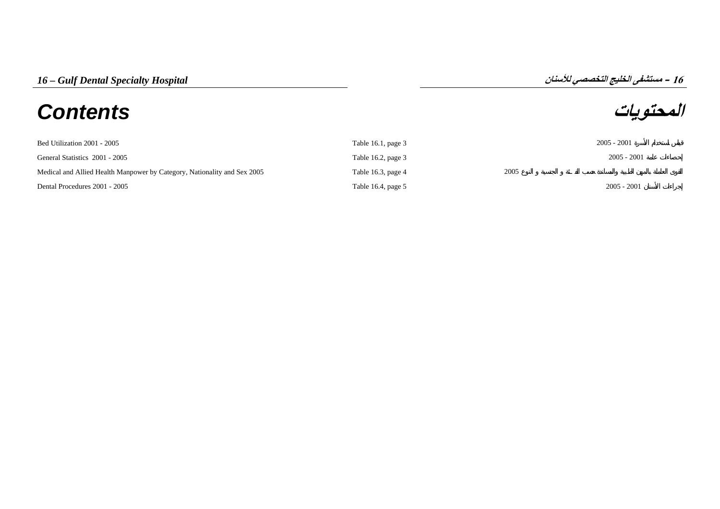# **المحتويات** *Contents*

**16**

| Bed Utilization 2001 - 2005                                              | Table 16.1, page $3$ |      | $2005 - 2001$ |
|--------------------------------------------------------------------------|----------------------|------|---------------|
| General Statistics 2001 - 2005                                           | Table 16.2, page $3$ |      | $2005 - 2001$ |
| Medical and Allied Health Manpower by Category, Nationality and Sex 2005 | Table 16.3, page 4   | 2005 |               |
| Dental Procedures 2001 - 2005                                            | Table 16.4, page $5$ |      | $2005 - 2001$ |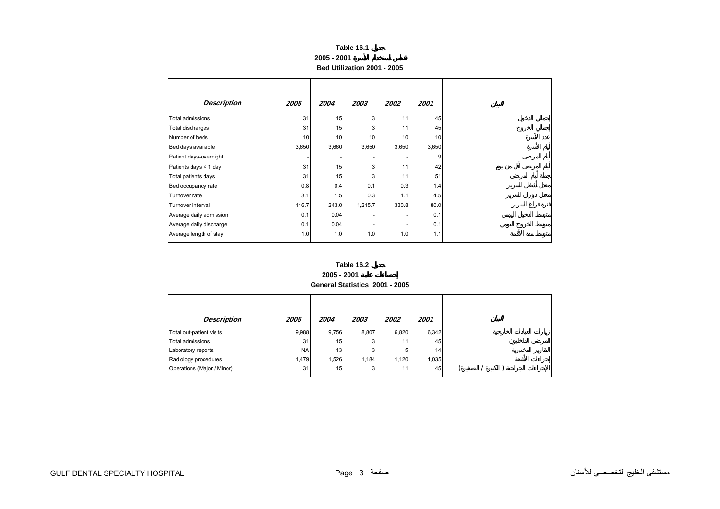## **Table 16.1 2005 - 2001 Bed Utilization 2001 - 2005**

<span id="page-1-0"></span>

| <b>Description</b>      | 2005  | 2004  | 2003    | 2002  | 2001  |
|-------------------------|-------|-------|---------|-------|-------|
| Total admissions        | 31    | 15    | 3       | 11    | 45    |
| Total discharges        | 31    | 15    | 3       | 11    | 45    |
| Number of beds          | 10    | 10    | 10      | 10    | 10    |
| Bed days available      | 3,650 | 3,660 | 3,650   | 3,650 | 3,650 |
| Patient days-overnight  |       |       |         |       | 9     |
| Patients days < 1 day   | 31    | 15    | 3       | 11    | 42    |
| Total patients days     | 31    | 15    | 3       | 11    | 51    |
| Bed occupancy rate      | 0.8   | 0.4   | 0.1     | 0.3   | 1.4   |
| Turnover rate           | 3.1   | 1.5   | 0.3     | 1.1   | 4.5   |
| Turnover interval       | 116.7 | 243.0 | 1,215.7 | 330.8 | 80.0  |
| Average daily admission | 0.1   | 0.04  |         |       | 0.1   |
| Average daily discharge | 0.1   | 0.04  |         |       | 0.1   |
| Average length of stay  | 1.0   | 1.0   | 1.0     | 1.0   | 1.1   |

#### **Table 16.2 2005 - 2001 General Statistics 2001 - 2005**

| <b>Description</b>         | 2005      | 2004  | 2003  | 2002  | 2001            |  |  |  |
|----------------------------|-----------|-------|-------|-------|-----------------|--|--|--|
| Total out-patient visits   | 9,988     | 9,756 | 8,807 | 6,820 | 6,342           |  |  |  |
| Total admissions           | 31        | 15    |       | 111   | 45              |  |  |  |
| Laboratory reports         | <b>NA</b> | 13    |       | 5     | 14 <sub>1</sub> |  |  |  |
| Radiology procedures       | 1,479     | 1,526 | 1,184 | 1,120 | 1,035           |  |  |  |
| Operations (Major / Minor) | 31        | 15    |       | 111   | 45              |  |  |  |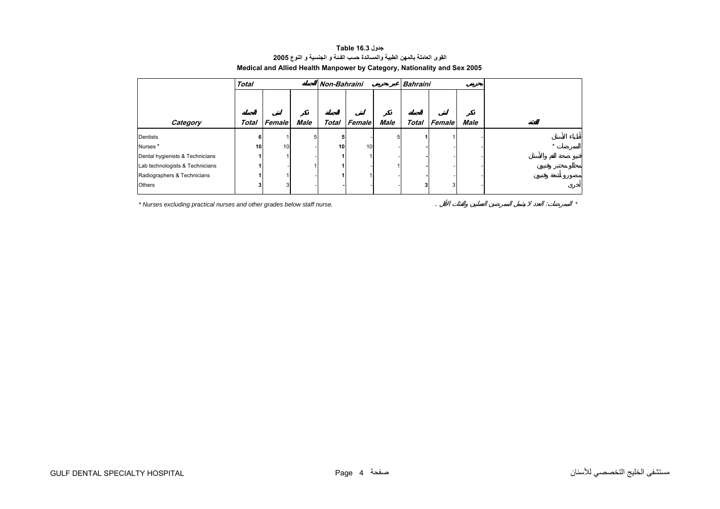### **جدول 16.3 Table القوى العاملة بالمهن الطبية والمساندة حسب الفـئة <sup>و</sup> الجنسية <sup>و</sup> النوع<sup>2005</sup> Medical and Allied Health Manpower by Category, Nationality and Sex 2005**

<span id="page-2-0"></span>

|                                 | <b>Total</b> |        |      | Non-Bahraini |        |             | <b>Bahraini</b> |                     |             |  |
|---------------------------------|--------------|--------|------|--------------|--------|-------------|-----------------|---------------------|-------------|--|
|                                 |              |        |      |              |        |             |                 |                     |             |  |
|                                 |              |        |      |              |        |             |                 |                     |             |  |
| Category                        | Total        | Female | Male | Total        | Female | <b>Male</b> |                 | <b>Total Female</b> | <b>Male</b> |  |
| Dentists                        | 6            |        | 51   | 5            |        | 5           |                 |                     |             |  |
| Nurses <sup>*</sup>             | 10           | 10     |      | 10           | 10     |             |                 |                     |             |  |
| Dental hygienists & Technicians |              |        |      |              |        |             |                 |                     |             |  |
| Lab technologists & Technicians |              |        |      |              |        |             |                 |                     |             |  |
| Radiographers & Technicians     |              |        |      |              |        |             |                 |                     |             |  |
| Others                          |              |        |      |              |        |             | 3               | 3                   |             |  |

*\* Nurses excluding practical nurses and other grades below staff nurse.* . : *\**